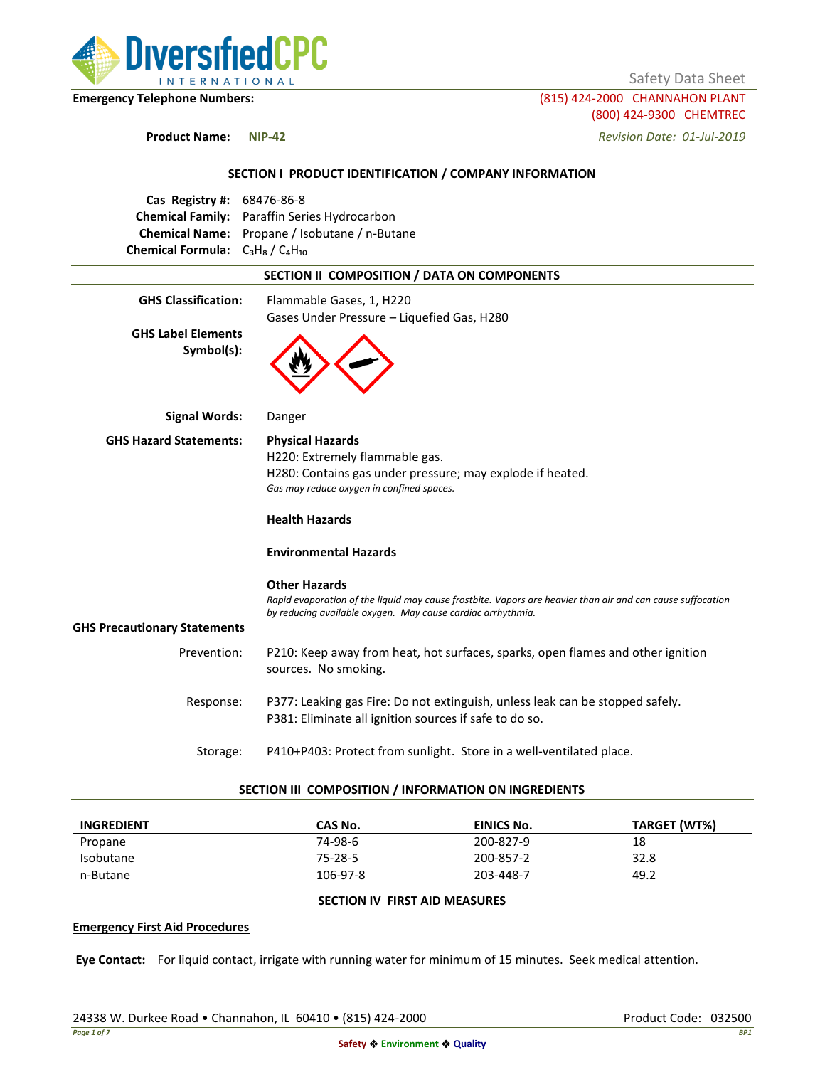

Safety Data Sheet

**Emergency Telephone Numbers:** (815) 424-2000 CHANNAHON PLANT (800) 424-9300 CHEMTREC

**Product Name: NIP-42** *Revision Date: 01-Jul-2019*

| SECTION I PRODUCT IDENTIFICATION / COMPANY INFORMATION                                                                 |                                                                                                                                                                                                   |  |  |  |
|------------------------------------------------------------------------------------------------------------------------|---------------------------------------------------------------------------------------------------------------------------------------------------------------------------------------------------|--|--|--|
| Cas Registry #: 68476-86-8<br><b>Chemical Family:</b><br><b>Chemical Name:</b><br>Chemical Formula: $C_3H_8/C_4H_{10}$ | Paraffin Series Hydrocarbon<br>Propane / Isobutane / n-Butane                                                                                                                                     |  |  |  |
| SECTION II COMPOSITION / DATA ON COMPONENTS                                                                            |                                                                                                                                                                                                   |  |  |  |
| <b>GHS Classification:</b>                                                                                             | Flammable Gases, 1, H220<br>Gases Under Pressure - Liquefied Gas, H280                                                                                                                            |  |  |  |
| <b>GHS Label Elements</b><br>Symbol(s):                                                                                |                                                                                                                                                                                                   |  |  |  |
| <b>Signal Words:</b>                                                                                                   | Danger                                                                                                                                                                                            |  |  |  |
| <b>GHS Hazard Statements:</b>                                                                                          | <b>Physical Hazards</b><br>H220: Extremely flammable gas.<br>H280: Contains gas under pressure; may explode if heated.<br>Gas may reduce oxygen in confined spaces.                               |  |  |  |
|                                                                                                                        | <b>Health Hazards</b>                                                                                                                                                                             |  |  |  |
|                                                                                                                        | <b>Environmental Hazards</b>                                                                                                                                                                      |  |  |  |
|                                                                                                                        | <b>Other Hazards</b><br>Rapid evaporation of the liquid may cause frostbite. Vapors are heavier than air and can cause suffocation<br>by reducing available oxygen. May cause cardiac arrhythmia. |  |  |  |
| <b>GHS Precautionary Statements</b>                                                                                    |                                                                                                                                                                                                   |  |  |  |
| Prevention:                                                                                                            | P210: Keep away from heat, hot surfaces, sparks, open flames and other ignition<br>sources. No smoking.                                                                                           |  |  |  |
| Response:                                                                                                              | P377: Leaking gas Fire: Do not extinguish, unless leak can be stopped safely.<br>P381: Eliminate all ignition sources if safe to do so.                                                           |  |  |  |
| Storage:                                                                                                               | P410+P403: Protect from sunlight. Store in a well-ventilated place.                                                                                                                               |  |  |  |

#### **SECTION III COMPOSITION / INFORMATION ON INGREDIENTS**

| <b>INGREDIENT</b> | CAS No.  | EINICS No.                           | TARGET (WT%) |  |
|-------------------|----------|--------------------------------------|--------------|--|
| Propane           | 74-98-6  | 200-827-9                            | 18           |  |
| Isobutane         | 75-28-5  | 200-857-2                            | 32.8         |  |
| n-Butane          | 106-97-8 | 203-448-7                            | 49.2         |  |
|                   |          | <b>SECTION IV FIRST AID MEASURES</b> |              |  |

### **Emergency First Aid Procedures**

**Eye Contact:** For liquid contact, irrigate with running water for minimum of 15 minutes. Seek medical attention.

24338 W. Durkee Road • Channahon, IL 60410 • (815) 424-2000 Product Code: 032500 Product Code: 032500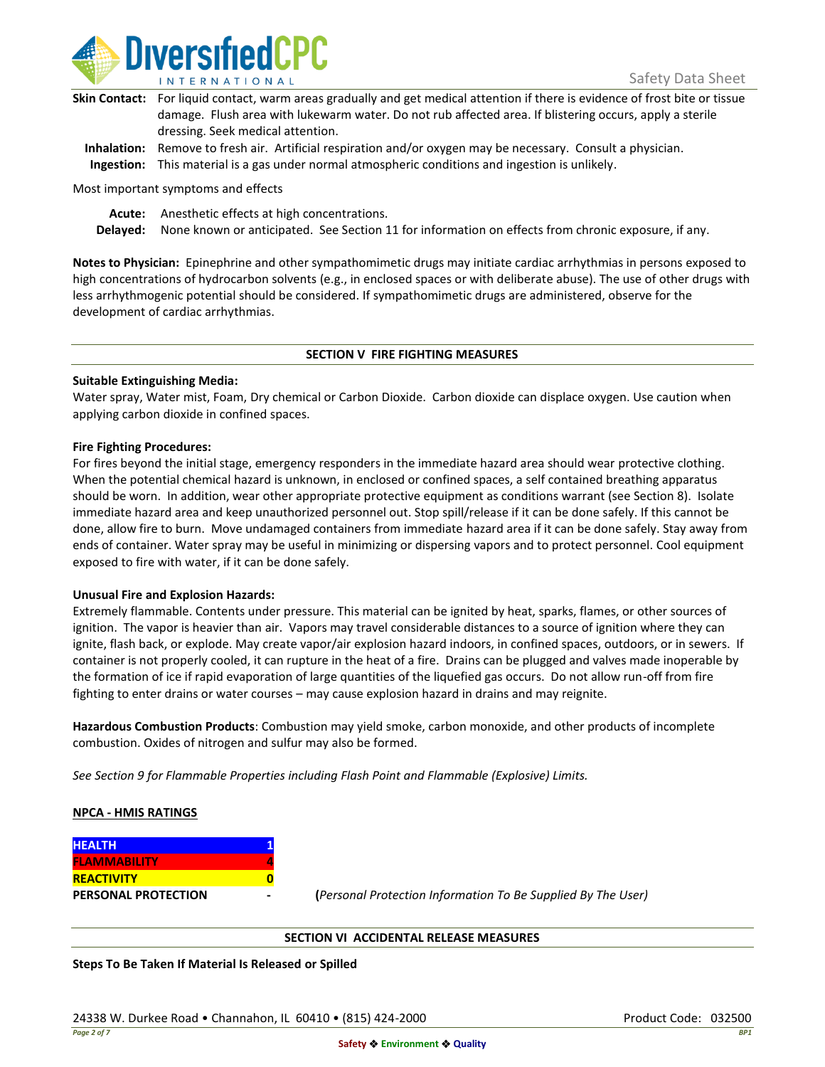

| Skin Contact: For liquid contact, warm areas gradually and get medical attention if there is evidence of frost bite or tissue |
|-------------------------------------------------------------------------------------------------------------------------------|
| damage. Flush area with lukewarm water. Do not rub affected area. If blistering occurs, apply a sterile                       |
| dressing. Seek medical attention.                                                                                             |
|                                                                                                                               |

**Inhalation:** Remove to fresh air. Artificial respiration and/or oxygen may be necessary. Consult a physician. **Ingestion:** This material is a gas under normal atmospheric conditions and ingestion is unlikely.

Most important symptoms and effects

**Acute:** Anesthetic effects at high concentrations.

**Delayed:** None known or anticipated. See Section 11 for information on effects from chronic exposure, if any.

**Notes to Physician:** Epinephrine and other sympathomimetic drugs may initiate cardiac arrhythmias in persons exposed to high concentrations of hydrocarbon solvents (e.g., in enclosed spaces or with deliberate abuse). The use of other drugs with less arrhythmogenic potential should be considered. If sympathomimetic drugs are administered, observe for the development of cardiac arrhythmias.

### **SECTION V FIRE FIGHTING MEASURES**

### **Suitable Extinguishing Media:**

Water spray, Water mist, Foam, Dry chemical or Carbon Dioxide. Carbon dioxide can displace oxygen. Use caution when applying carbon dioxide in confined spaces.

### **Fire Fighting Procedures:**

For fires beyond the initial stage, emergency responders in the immediate hazard area should wear protective clothing. When the potential chemical hazard is unknown, in enclosed or confined spaces, a self contained breathing apparatus should be worn. In addition, wear other appropriate protective equipment as conditions warrant (see Section 8). Isolate immediate hazard area and keep unauthorized personnel out. Stop spill/release if it can be done safely. If this cannot be done, allow fire to burn. Move undamaged containers from immediate hazard area if it can be done safely. Stay away from ends of container. Water spray may be useful in minimizing or dispersing vapors and to protect personnel. Cool equipment exposed to fire with water, if it can be done safely.

### **Unusual Fire and Explosion Hazards:**

Extremely flammable. Contents under pressure. This material can be ignited by heat, sparks, flames, or other sources of ignition. The vapor is heavier than air. Vapors may travel considerable distances to a source of ignition where they can ignite, flash back, or explode. May create vapor/air explosion hazard indoors, in confined spaces, outdoors, or in sewers. If container is not properly cooled, it can rupture in the heat of a fire. Drains can be plugged and valves made inoperable by the formation of ice if rapid evaporation of large quantities of the liquefied gas occurs. Do not allow run-off from fire fighting to enter drains or water courses – may cause explosion hazard in drains and may reignite.

**Hazardous Combustion Products**: Combustion may yield smoke, carbon monoxide, and other products of incomplete combustion. Oxides of nitrogen and sulfur may also be formed.

*See Section 9 for Flammable Properties including Flash Point and Flammable (Explosive) Limits.*

### **NPCA - HMIS RATINGS**

| <b>HEALTH</b>              |  |
|----------------------------|--|
| <b>FLAMMABILITY</b>        |  |
| <b>REACTIVITY</b>          |  |
| <b>PERSONAL PROTECTION</b> |  |

**PERSONAL PROTECTION - (***Personal Protection Information To Be Supplied By The User)*

### **SECTION VI ACCIDENTAL RELEASE MEASURES**

**Steps To Be Taken If Material Is Released or Spilled**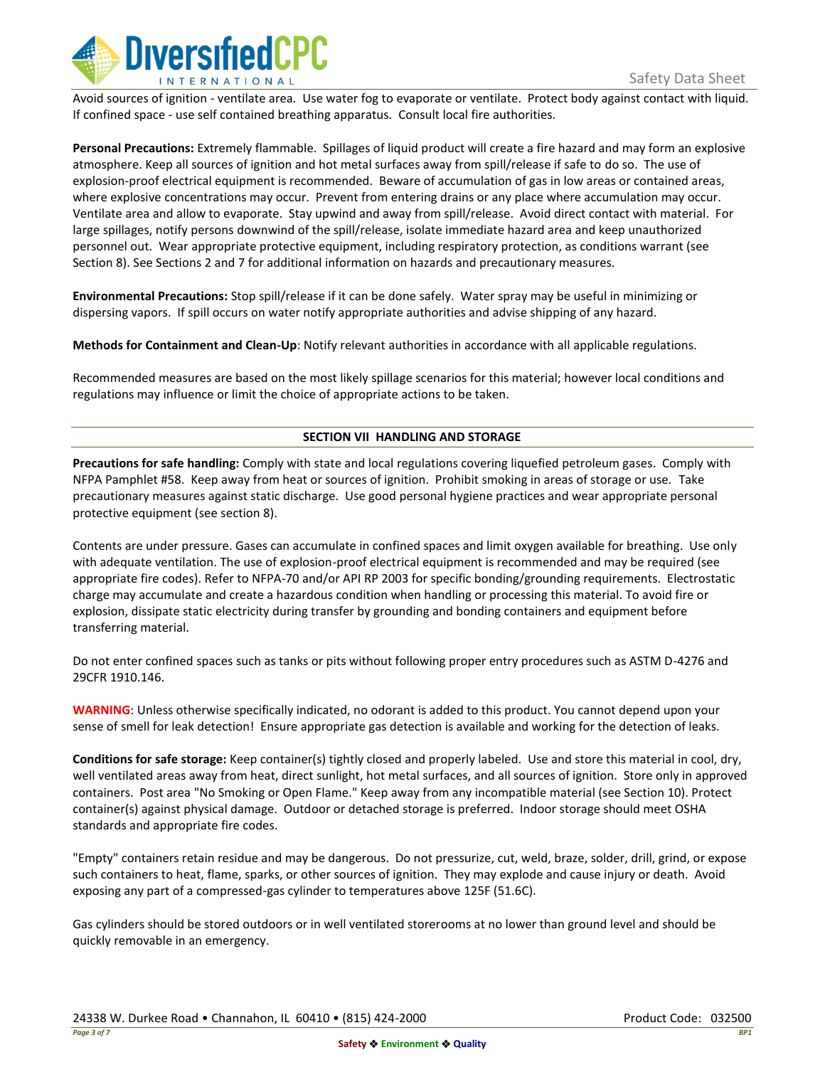

Avoid sources of ignition - ventilate area. Use water fog to evaporate or ventilate. Protect body against contact with liquid. If confined space - use self contained breathing apparatus. Consult local fire authorities.

**Personal Precautions:** Extremely flammable. Spillages of liquid product will create a fire hazard and may form an explosive atmosphere. Keep all sources of ignition and hot metal surfaces away from spill/release if safe to do so. The use of explosion-proof electrical equipment is recommended. Beware of accumulation of gas in low areas or contained areas, where explosive concentrations may occur. Prevent from entering drains or any place where accumulation may occur. Ventilate area and allow to evaporate. Stay upwind and away from spill/release. Avoid direct contact with material. For large spillages, notify persons downwind of the spill/release, isolate immediate hazard area and keep unauthorized personnel out. Wear appropriate protective equipment, including respiratory protection, as conditions warrant (see Section 8). See Sections 2 and 7 for additional information on hazards and precautionary measures.

**Environmental Precautions:** Stop spill/release if it can be done safely. Water spray may be useful in minimizing or dispersing vapors. If spill occurs on water notify appropriate authorities and advise shipping of any hazard.

**Methods for Containment and Clean-Up**: Notify relevant authorities in accordance with all applicable regulations.

Recommended measures are based on the most likely spillage scenarios for this material; however local conditions and regulations may influence or limit the choice of appropriate actions to be taken.

# **SECTION VII HANDLING AND STORAGE**

**Precautions for safe handling:** Comply with state and local regulations covering liquefied petroleum gases. Comply with NFPA Pamphlet #58. Keep away from heat or sources of ignition. Prohibit smoking in areas of storage or use. Take precautionary measures against static discharge. Use good personal hygiene practices and wear appropriate personal protective equipment (see section 8).

Contents are under pressure. Gases can accumulate in confined spaces and limit oxygen available for breathing. Use only with adequate ventilation. The use of explosion-proof electrical equipment is recommended and may be required (see appropriate fire codes). Refer to NFPA-70 and/or API RP 2003 for specific bonding/grounding requirements. Electrostatic charge may accumulate and create a hazardous condition when handling or processing this material. To avoid fire or explosion, dissipate static electricity during transfer by grounding and bonding containers and equipment before transferring material.

Do not enter confined spaces such as tanks or pits without following proper entry procedures such as ASTM D-4276 and 29CFR 1910.146.

**WARNING**: Unless otherwise specifically indicated, no odorant is added to this product. You cannot depend upon your sense of smell for leak detection! Ensure appropriate gas detection is available and working for the detection of leaks.

**Conditions for safe storage:** Keep container(s) tightly closed and properly labeled. Use and store this material in cool, dry, well ventilated areas away from heat, direct sunlight, hot metal surfaces, and all sources of ignition. Store only in approved containers. Post area "No Smoking or Open Flame." Keep away from any incompatible material (see Section 10). Protect container(s) against physical damage. Outdoor or detached storage is preferred. Indoor storage should meet OSHA standards and appropriate fire codes.

"Empty" containers retain residue and may be dangerous. Do not pressurize, cut, weld, braze, solder, drill, grind, or expose such containers to heat, flame, sparks, or other sources of ignition. They may explode and cause injury or death. Avoid exposing any part of a compressed-gas cylinder to temperatures above 125F (51.6C).

Gas cylinders should be stored outdoors or in well ventilated storerooms at no lower than ground level and should be quickly removable in an emergency.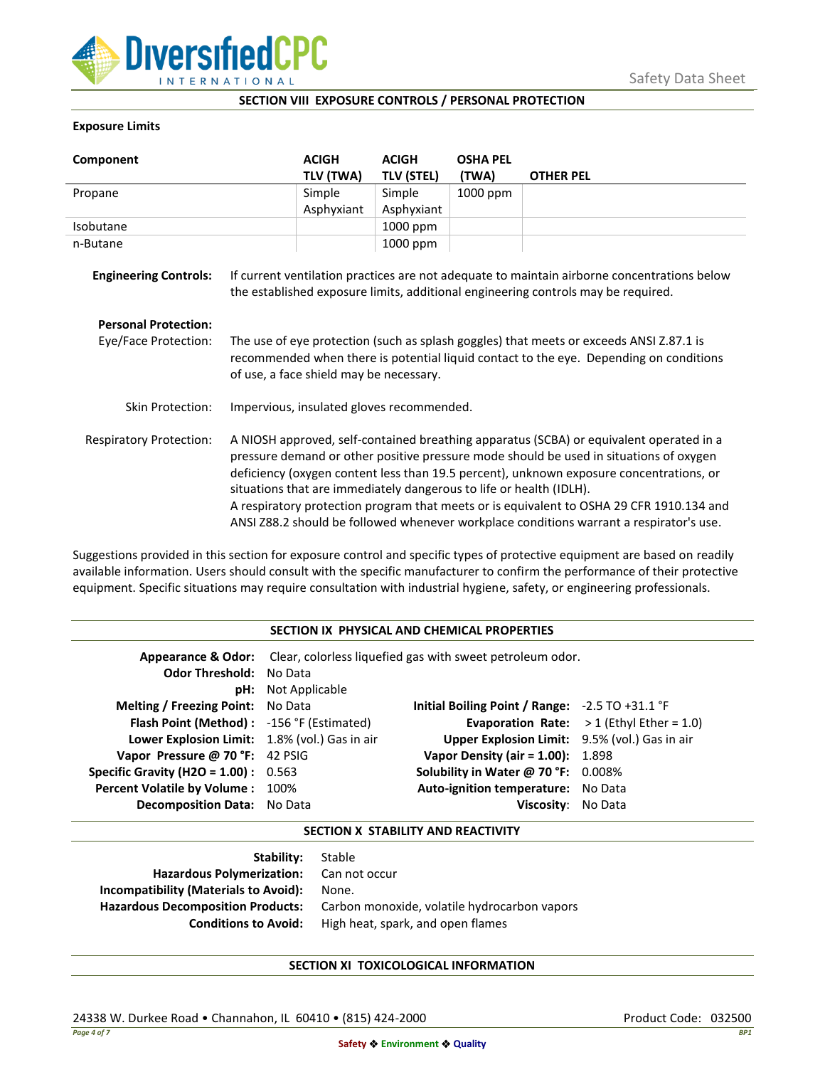

### **SECTION VIII EXPOSURE CONTROLS / PERSONAL PROTECTION**

### **Exposure Limits**

| Component                      |                                                                                                                                                                                                                                                                                                                                                                                                                                                                                                                                            | <b>ACIGH</b> | <b>ACIGH</b>      | <b>OSHA PEL</b> |                                                                                                                                                                                  |
|--------------------------------|--------------------------------------------------------------------------------------------------------------------------------------------------------------------------------------------------------------------------------------------------------------------------------------------------------------------------------------------------------------------------------------------------------------------------------------------------------------------------------------------------------------------------------------------|--------------|-------------------|-----------------|----------------------------------------------------------------------------------------------------------------------------------------------------------------------------------|
|                                |                                                                                                                                                                                                                                                                                                                                                                                                                                                                                                                                            | TLV (TWA)    | <b>TLV (STEL)</b> | (TWA)           | <b>OTHER PEL</b>                                                                                                                                                                 |
| Propane                        |                                                                                                                                                                                                                                                                                                                                                                                                                                                                                                                                            | Simple       | Simple            | 1000 ppm        |                                                                                                                                                                                  |
|                                |                                                                                                                                                                                                                                                                                                                                                                                                                                                                                                                                            | Asphyxiant   | Asphyxiant        |                 |                                                                                                                                                                                  |
| Isobutane                      |                                                                                                                                                                                                                                                                                                                                                                                                                                                                                                                                            |              | 1000 ppm          |                 |                                                                                                                                                                                  |
| n-Butane                       |                                                                                                                                                                                                                                                                                                                                                                                                                                                                                                                                            |              | 1000 ppm          |                 |                                                                                                                                                                                  |
| <b>Engineering Controls:</b>   |                                                                                                                                                                                                                                                                                                                                                                                                                                                                                                                                            |              |                   |                 | If current ventilation practices are not adequate to maintain airborne concentrations below<br>the established exposure limits, additional engineering controls may be required. |
| <b>Personal Protection:</b>    |                                                                                                                                                                                                                                                                                                                                                                                                                                                                                                                                            |              |                   |                 |                                                                                                                                                                                  |
| Eye/Face Protection:           | The use of eye protection (such as splash goggles) that meets or exceeds ANSI Z.87.1 is<br>recommended when there is potential liquid contact to the eye. Depending on conditions<br>of use, a face shield may be necessary.                                                                                                                                                                                                                                                                                                               |              |                   |                 |                                                                                                                                                                                  |
| <b>Skin Protection:</b>        | Impervious, insulated gloves recommended.                                                                                                                                                                                                                                                                                                                                                                                                                                                                                                  |              |                   |                 |                                                                                                                                                                                  |
| <b>Respiratory Protection:</b> | A NIOSH approved, self-contained breathing apparatus (SCBA) or equivalent operated in a<br>pressure demand or other positive pressure mode should be used in situations of oxygen<br>deficiency (oxygen content less than 19.5 percent), unknown exposure concentrations, or<br>situations that are immediately dangerous to life or health (IDLH).<br>A respiratory protection program that meets or is equivalent to OSHA 29 CFR 1910.134 and<br>ANSI Z88.2 should be followed whenever workplace conditions warrant a respirator's use. |              |                   |                 |                                                                                                                                                                                  |

Suggestions provided in this section for exposure control and specific types of protective equipment are based on readily available information. Users should consult with the specific manufacturer to confirm the performance of their protective equipment. Specific situations may require consultation with industrial hygiene, safety, or engineering professionals.

### **SECTION IX PHYSICAL AND CHEMICAL PROPERTIES**

| <b>Odor Threshold: No Data</b>                | <b>pH:</b> Not Applicable | <b>Appearance &amp; Odor:</b> Clear, colorless liquefied gas with sweet petroleum odor. |                                                   |
|-----------------------------------------------|---------------------------|-----------------------------------------------------------------------------------------|---------------------------------------------------|
| <b>Melting / Freezing Point:</b> No Data      |                           | Initial Boiling Point / Range: $-2.5$ TO $+31.1$ °F                                     |                                                   |
| Flash Point (Method): -156 °F (Estimated)     |                           |                                                                                         | <b>Evaporation Rate:</b> $>1$ (Ethyl Ether = 1.0) |
| Lower Explosion Limit: 1.8% (vol.) Gas in air |                           | Upper Explosion Limit: 9.5% (vol.) Gas in air                                           |                                                   |
| Vapor Pressure @ 70 °F: 42 PSIG               |                           | <b>Vapor Density (air = 1.00):</b> 1.898                                                |                                                   |
| <b>Specific Gravity (H2O = 1.00):</b> $0.563$ |                           | Solubility in Water @ 70 °F: 0.008%                                                     |                                                   |
| Percent Volatile by Volume: 100%              |                           | Auto-ignition temperature: No Data                                                      |                                                   |
| <b>Decomposition Data:</b> No Data            |                           | Viscosity: No Data                                                                      |                                                   |

## **SECTION X STABILITY AND REACTIVITY**

| Stable                                       |
|----------------------------------------------|
| Hazardous Polymerization: Can not occur      |
| None.                                        |
| Carbon monoxide, volatile hydrocarbon vapors |
| High heat, spark, and open flames            |
|                                              |

# **SECTION XI TOXICOLOGICAL INFORMATION**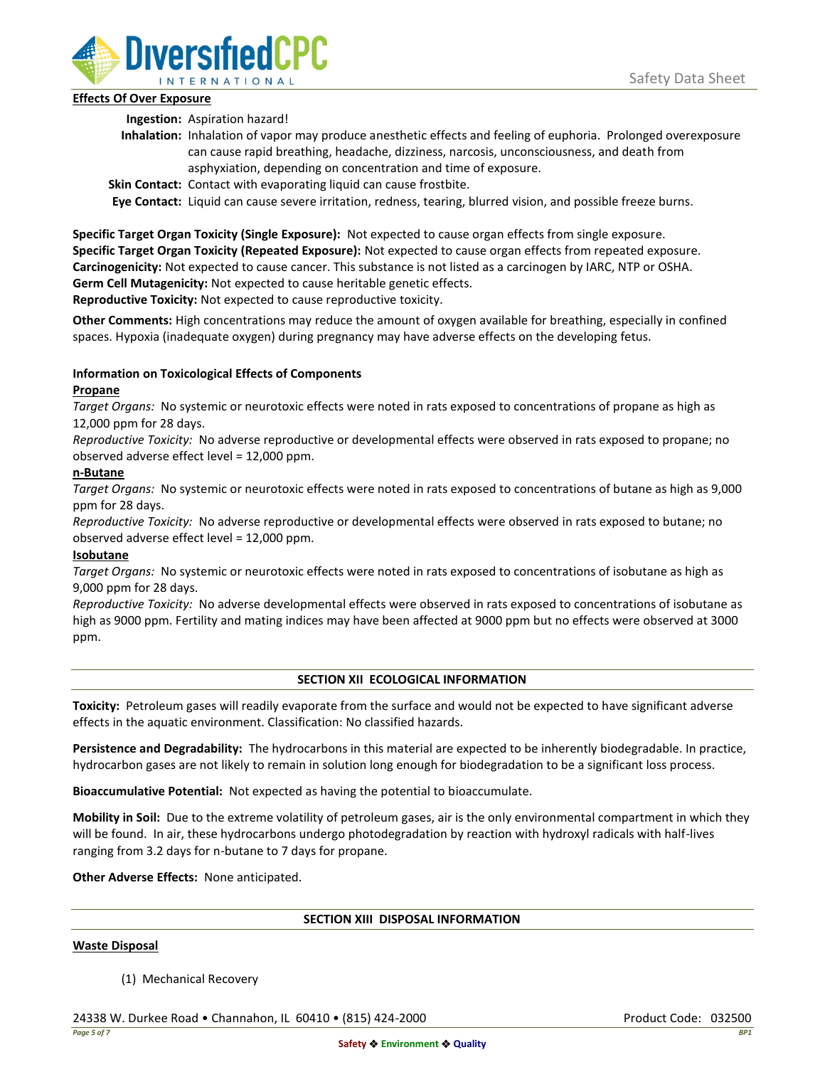

# **Effects Of Over Exposure**

**Ingestion:** Aspiration hazard!

- **Inhalation:** Inhalation of vapor may produce anesthetic effects and feeling of euphoria. Prolonged overexposure can cause rapid breathing, headache, dizziness, narcosis, unconsciousness, and death from asphyxiation, depending on concentration and time of exposure.
- **Skin Contact:** Contact with evaporating liquid can cause frostbite.

**Eye Contact:** Liquid can cause severe irritation, redness, tearing, blurred vision, and possible freeze burns.

**Specific Target Organ Toxicity (Single Exposure):** Not expected to cause organ effects from single exposure. **Specific Target Organ Toxicity (Repeated Exposure):** Not expected to cause organ effects from repeated exposure. **Carcinogenicity:** Not expected to cause cancer. This substance is not listed as a carcinogen by IARC, NTP or OSHA. **Germ Cell Mutagenicity:** Not expected to cause heritable genetic effects.

**Reproductive Toxicity:** Not expected to cause reproductive toxicity.

**Other Comments:** High concentrations may reduce the amount of oxygen available for breathing, especially in confined spaces. Hypoxia (inadequate oxygen) during pregnancy may have adverse effects on the developing fetus.

# **Information on Toxicological Effects of Components**

# **Propane**

*Target Organs:* No systemic or neurotoxic effects were noted in rats exposed to concentrations of propane as high as 12,000 ppm for 28 days.

*Reproductive Toxicity:* No adverse reproductive or developmental effects were observed in rats exposed to propane; no observed adverse effect level = 12,000 ppm.

# **n-Butane**

*Target Organs:* No systemic or neurotoxic effects were noted in rats exposed to concentrations of butane as high as 9,000 ppm for 28 days.

*Reproductive Toxicity:* No adverse reproductive or developmental effects were observed in rats exposed to butane; no observed adverse effect level = 12,000 ppm.

# **Isobutane**

*Target Organs:* No systemic or neurotoxic effects were noted in rats exposed to concentrations of isobutane as high as 9,000 ppm for 28 days.

*Reproductive Toxicity:* No adverse developmental effects were observed in rats exposed to concentrations of isobutane as high as 9000 ppm. Fertility and mating indices may have been affected at 9000 ppm but no effects were observed at 3000 ppm.

# **SECTION XII ECOLOGICAL INFORMATION**

**Toxicity:** Petroleum gases will readily evaporate from the surface and would not be expected to have significant adverse effects in the aquatic environment. Classification: No classified hazards.

**Persistence and Degradability:** The hydrocarbons in this material are expected to be inherently biodegradable. In practice, hydrocarbon gases are not likely to remain in solution long enough for biodegradation to be a significant loss process.

**Bioaccumulative Potential:** Not expected as having the potential to bioaccumulate.

**Mobility in Soil:** Due to the extreme volatility of petroleum gases, air is the only environmental compartment in which they will be found. In air, these hydrocarbons undergo photodegradation by reaction with hydroxyl radicals with half-lives ranging from 3.2 days for n-butane to 7 days for propane.

**Other Adverse Effects:** None anticipated.

### **SECTION XIII DISPOSAL INFORMATION**

### **Waste Disposal**

(1) Mechanical Recovery

24338 W. Durkee Road • Channahon, IL 60410 • (815) 424-2000 Product Code: 032500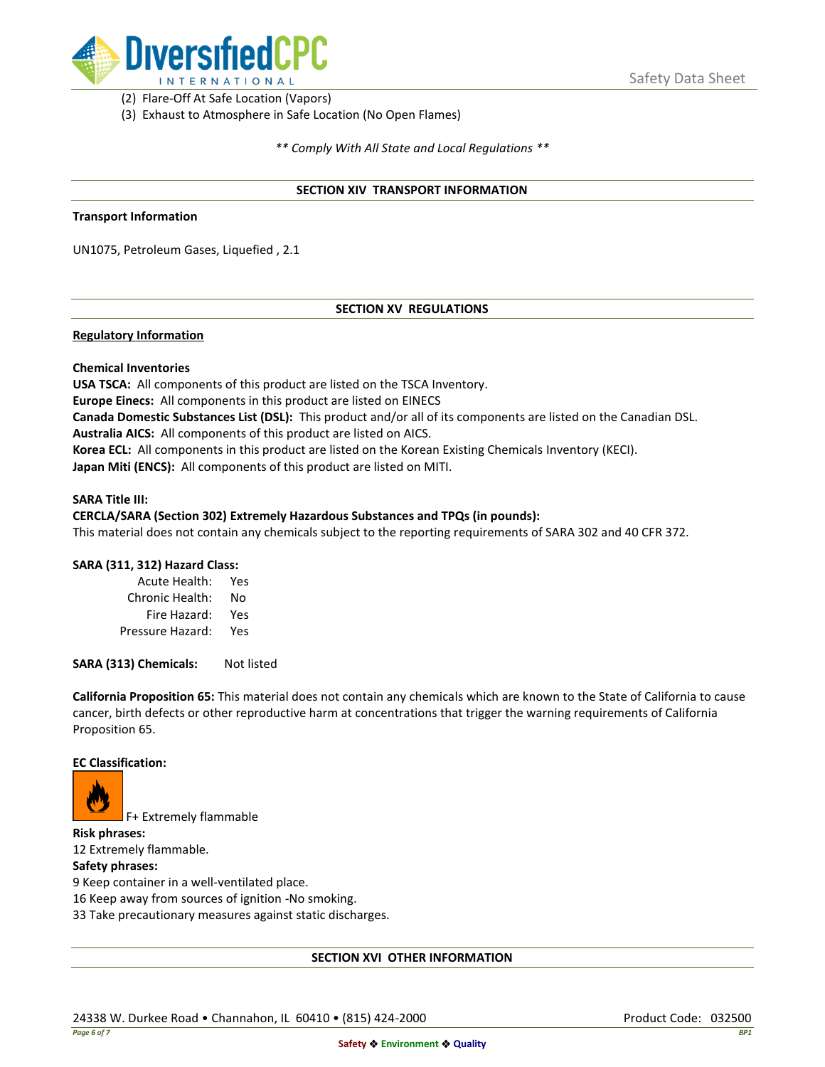

(2) Flare-Off At Safe Location (Vapors)

(3) Exhaust to Atmosphere in Safe Location (No Open Flames)

*\*\* Comply With All State and Local Regulations \*\**

### **SECTION XIV TRANSPORT INFORMATION**

### **Transport Information**

UN1075, Petroleum Gases, Liquefied , 2.1

# **SECTION XV REGULATIONS**

## **Regulatory Information**

### **Chemical Inventories**

**USA TSCA:** All components of this product are listed on the TSCA Inventory. **Europe Einecs:** All components in this product are listed on EINECS **Canada Domestic Substances List (DSL):** This product and/or all of its components are listed on the Canadian DSL. **Australia AICS:** All components of this product are listed on AICS. **Korea ECL:** All components in this product are listed on the Korean Existing Chemicals Inventory (KECI). **Japan Miti (ENCS):** All components of this product are listed on MITI.

#### **SARA Title III:**

### **CERCLA/SARA (Section 302) Extremely Hazardous Substances and TPQs (in pounds):**

This material does not contain any chemicals subject to the reporting requirements of SARA 302 and 40 CFR 372.

### **SARA (311, 312) Hazard Class:**

| Acute Health:    | Yes |
|------------------|-----|
| Chronic Health:  | No  |
| Fire Hazard:     | Yes |
| Pressure Hazard: | Yes |

**SARA (313) Chemicals:** Not listed

**California Proposition 65:** This material does not contain any chemicals which are known to the State of California to cause cancer, birth defects or other reproductive harm at concentrations that trigger the warning requirements of California Proposition 65.

### **EC Classification:**



F+ Extremely flammable

**Risk phrases:** 12 Extremely flammable.

## **Safety phrases:**

9 Keep container in a well-ventilated place.

16 Keep away from sources of ignition -No smoking.

33 Take precautionary measures against static discharges.

### **SECTION XVI OTHER INFORMATION**